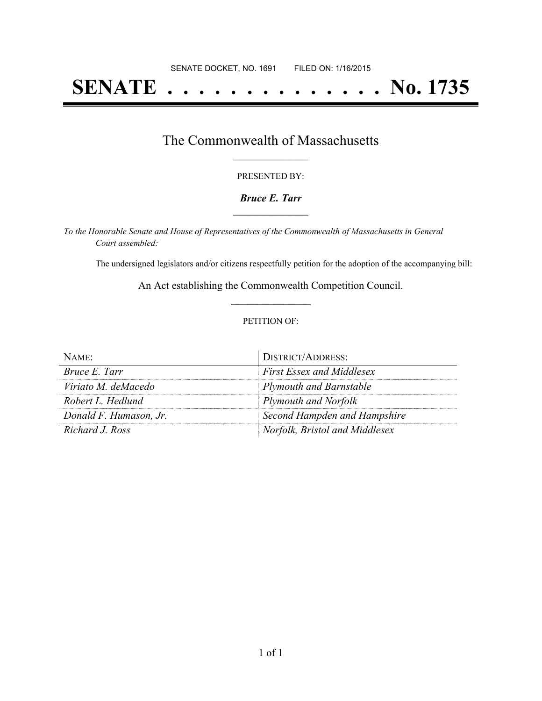# **SENATE . . . . . . . . . . . . . . No. 1735**

## The Commonwealth of Massachusetts **\_\_\_\_\_\_\_\_\_\_\_\_\_\_\_\_\_**

#### PRESENTED BY:

#### *Bruce E. Tarr* **\_\_\_\_\_\_\_\_\_\_\_\_\_\_\_\_\_**

*To the Honorable Senate and House of Representatives of the Commonwealth of Massachusetts in General Court assembled:*

The undersigned legislators and/or citizens respectfully petition for the adoption of the accompanying bill:

An Act establishing the Commonwealth Competition Council. **\_\_\_\_\_\_\_\_\_\_\_\_\_\_\_**

#### PETITION OF:

| $N$ AME:               | <b>DISTRICT/ADDRESS:</b>         |
|------------------------|----------------------------------|
| Bruce E. Tarr          | <b>First Essex and Middlesex</b> |
| Viriato M. deMacedo    | Plymouth and Barnstable          |
| Robert L. Hedlund      | Plymouth and Norfolk             |
| Donald F. Humason, Jr. | Second Hampden and Hampshire     |
| Richard J. Ross        | Norfolk, Bristol and Middlesex   |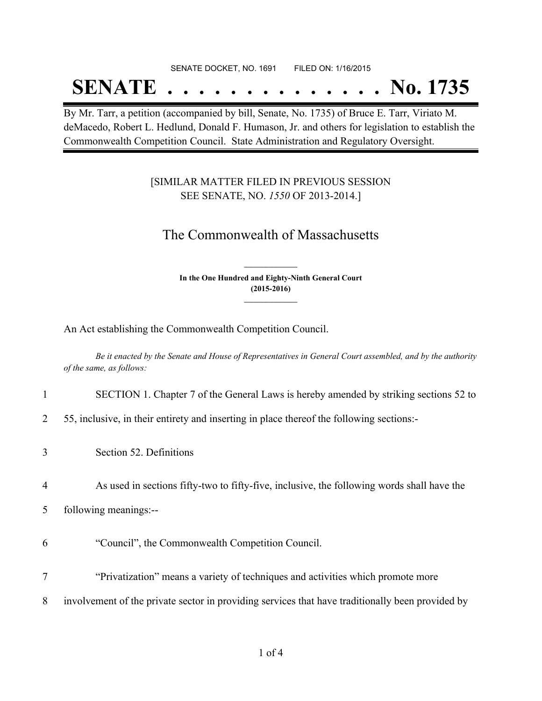#### SENATE DOCKET, NO. 1691 FILED ON: 1/16/2015

## **SENATE . . . . . . . . . . . . . . No. 1735**

By Mr. Tarr, a petition (accompanied by bill, Senate, No. 1735) of Bruce E. Tarr, Viriato M. deMacedo, Robert L. Hedlund, Donald F. Humason, Jr. and others for legislation to establish the Commonwealth Competition Council. State Administration and Regulatory Oversight.

### [SIMILAR MATTER FILED IN PREVIOUS SESSION SEE SENATE, NO. *1550* OF 2013-2014.]

## The Commonwealth of Massachusetts

**In the One Hundred and Eighty-Ninth General Court (2015-2016) \_\_\_\_\_\_\_\_\_\_\_\_\_\_\_**

**\_\_\_\_\_\_\_\_\_\_\_\_\_\_\_**

An Act establishing the Commonwealth Competition Council.

Be it enacted by the Senate and House of Representatives in General Court assembled, and by the authority *of the same, as follows:*

- 1 SECTION 1. Chapter 7 of the General Laws is hereby amended by striking sections 52 to
- 2 55, inclusive, in their entirety and inserting in place thereof the following sections:-
- 3 Section 52. Definitions
- 4 As used in sections fifty-two to fifty-five, inclusive, the following words shall have the
- 5 following meanings:--
- 6 "Council", the Commonwealth Competition Council.
- 7 "Privatization" means a variety of techniques and activities which promote more
- 8 involvement of the private sector in providing services that have traditionally been provided by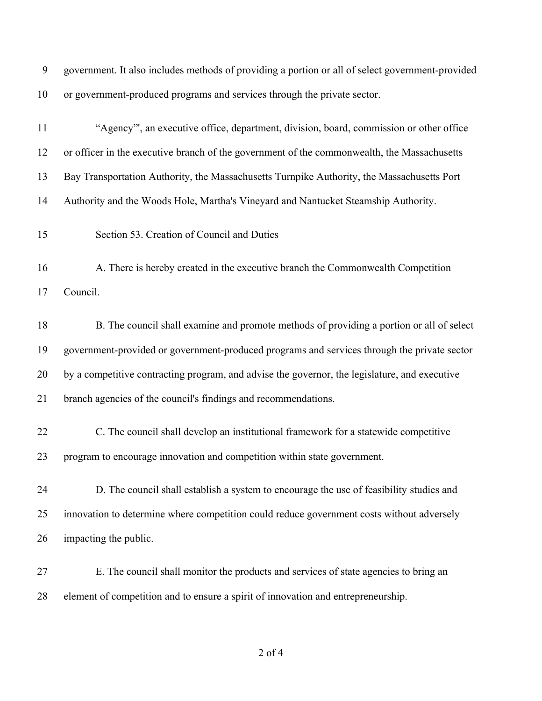| 9 government. It also includes methods of providing a portion or all of select government-provided |
|----------------------------------------------------------------------------------------------------|
| 10 or government-produced programs and services through the private sector.                        |

| 11 | "Agency", an executive office, department, division, board, commission or other office        |
|----|-----------------------------------------------------------------------------------------------|
| 12 | or officer in the executive branch of the government of the commonwealth, the Massachusetts   |
| 13 | Bay Transportation Authority, the Massachusetts Turnpike Authority, the Massachusetts Port    |
| 14 | Authority and the Woods Hole, Martha's Vineyard and Nantucket Steamship Authority.            |
| 15 | Section 53. Creation of Council and Duties                                                    |
| 16 | A. There is hereby created in the executive branch the Commonwealth Competition               |
| 17 | Council.                                                                                      |
| 18 | B. The council shall examine and promote methods of providing a portion or all of select      |
| 19 | government-provided or government-produced programs and services through the private sector   |
| 20 | by a competitive contracting program, and advise the governor, the legislature, and executive |
| 21 | branch agencies of the council's findings and recommendations.                                |
| 22 | C. The council shall develop an institutional framework for a statewide competitive           |
| 23 | program to encourage innovation and competition within state government.                      |
| 24 | D. The council shall establish a system to encourage the use of feasibility studies and       |
| 25 | innovation to determine where competition could reduce government costs without adversely     |
| 26 | impacting the public.                                                                         |
| 27 | E. The council shall monitor the products and services of state agencies to bring an          |
| 28 | element of competition and to ensure a spirit of innovation and entrepreneurship.             |

of 4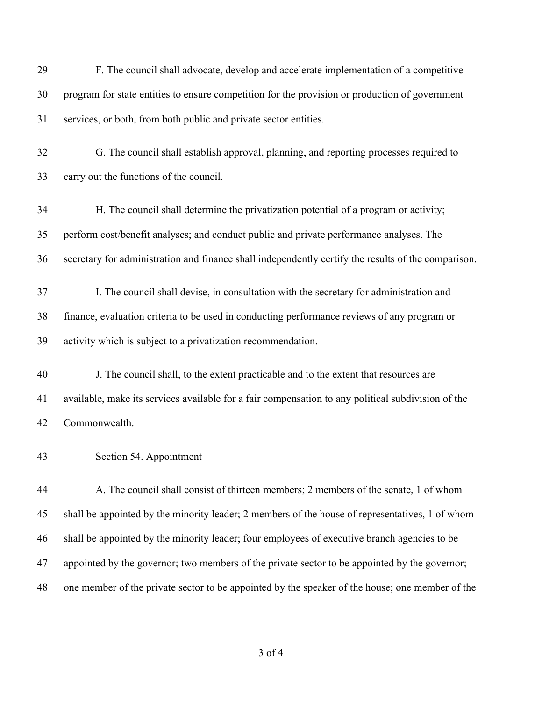| 29 | F. The council shall advocate, develop and accelerate implementation of a competitive               |
|----|-----------------------------------------------------------------------------------------------------|
| 30 | program for state entities to ensure competition for the provision or production of government      |
| 31 | services, or both, from both public and private sector entities.                                    |
| 32 | G. The council shall establish approval, planning, and reporting processes required to              |
| 33 | carry out the functions of the council.                                                             |
| 34 | H. The council shall determine the privatization potential of a program or activity;                |
| 35 | perform cost/benefit analyses; and conduct public and private performance analyses. The             |
| 36 | secretary for administration and finance shall independently certify the results of the comparison. |
| 37 | I. The council shall devise, in consultation with the secretary for administration and              |
| 38 | finance, evaluation criteria to be used in conducting performance reviews of any program or         |
| 39 | activity which is subject to a privatization recommendation.                                        |
| 40 | J. The council shall, to the extent practicable and to the extent that resources are                |
| 41 | available, make its services available for a fair compensation to any political subdivision of the  |
| 42 | Commonwealth.                                                                                       |
| 43 | Section 54. Appointment                                                                             |
| 44 | A. The council shall consist of thirteen members; 2 members of the senate, 1 of whom                |
| 45 | shall be appointed by the minority leader; 2 members of the house of representatives, 1 of whom     |
| 46 | shall be appointed by the minority leader; four employees of executive branch agencies to be        |
| 47 | appointed by the governor; two members of the private sector to be appointed by the governor;       |
| 48 | one member of the private sector to be appointed by the speaker of the house; one member of the     |

of 4